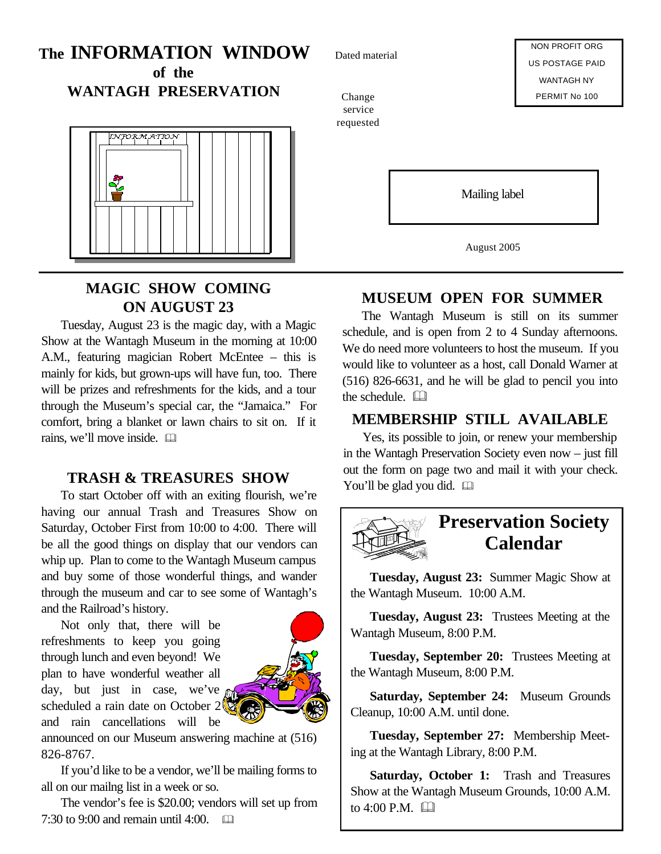# **The INFORMATION WINDOW of the**

**WANTAGH PRESERVATION**



## **MAGIC SHOW COMING ON AUGUST 23**

Tuesday, August 23 is the magic day, with a Magic Show at the Wantagh Museum in the morning at 10:00 A.M., featuring magician Robert McEntee – this is mainly for kids, but grown-ups will have fun, too. There will be prizes and refreshments for the kids, and a tour through the Museum's special car, the "Jamaica." For comfort, bring a blanket or lawn chairs to sit on. If it rains, we'll move inside.  $\square$ 

### **TRASH & TREASURES SHOW**

To start October off with an exiting flourish, we're having our annual Trash and Treasures Show on Saturday, October First from 10:00 to 4:00. There will be all the good things on display that our vendors can whip up. Plan to come to the Wantagh Museum campus and buy some of those wonderful things, and wander through the museum and car to see some of Wantagh's and the Railroad's history.

Not only that, there will be refreshments to keep you going through lunch and even beyond! We plan to have wonderful weather all day, but just in case, we've  $\alpha$ scheduled a rain date on October 2 and rain cancellations will be



announced on our Museum answering machine at (516) 826-8767.

If you'd like to be a vendor, we'll be mailing forms to all on our mailng list in a week or so.

The vendor's fee is \$20.00; vendors will set up from 7:30 to 9:00 and remain until 4:00.  $\Box$ 

Dated material

NON PROFIT ORG US POSTAGE PAID WANTAGH NY PERMIT No 100

Change service requested

Mailing label

August 2005

## **MUSEUM OPEN FOR SUMMER**

The Wantagh Museum is still on its summer schedule, and is open from 2 to 4 Sunday afternoons. We do need more volunteers to host the museum. If you would like to volunteer as a host, call Donald Warner at (516) 826-6631, and he will be glad to pencil you into the schedule.  $\Box$ 

### **MEMBERSHIP STILL AVAILABLE**

Yes, its possible to join, or renew your membership in the Wantagh Preservation Society even now – just fill out the form on page two and mail it with your check. You'll be glad you did.  $\square$ 



# **Preservation Society Calendar**

**Tuesday, August 23:** Summer Magic Show at the Wantagh Museum. 10:00 A.M.

**Tuesday, August 23:** Trustees Meeting at the Wantagh Museum, 8:00 P.M.

**Tuesday, September 20:** Trustees Meeting at the Wantagh Museum, 8:00 P.M.

**Saturday, September 24:** Museum Grounds Cleanup, 10:00 A.M. until done.

**Tuesday, September 27:** Membership Meeting at the Wantagh Library, 8:00 P.M.

**Saturday, October 1:** Trash and Treasures Show at the Wantagh Museum Grounds, 10:00 A.M. to  $4:00$  P.M.  $\Box$